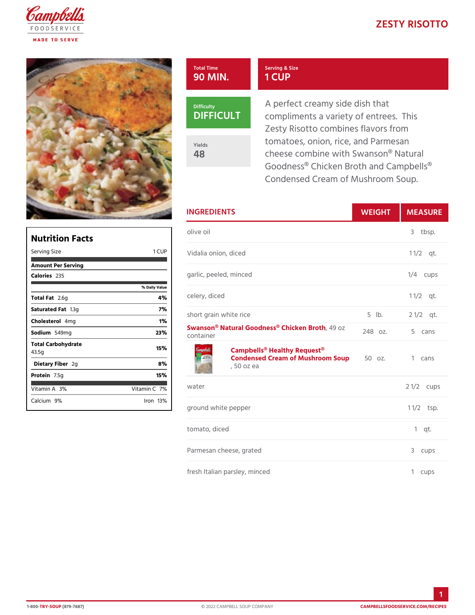## ZESTY RISOT

## Total Time 90 MIN. Serving & Size 1 CUP



Yields 48

A perfect creamy side dish that compliments a variety of entree Zesty Risotto combines flavors tomatoes, onion, rice, and Parm cheese combine with Swanson $@$ Goodness® Chicken Broth and O Condensed Cream of Mushroom

| <b>INGREDIENTS</b>                                                                                           | WEIGH | MEASU          |
|--------------------------------------------------------------------------------------------------------------|-------|----------------|
| olive oil                                                                                                    |       | 3 tbsp.        |
| Vidalia onion, diced                                                                                         |       | $1 \t1/2qt.$   |
| garlic, peeled, minced                                                                                       |       | $1/4$ cups     |
| lue<br>celery, diced                                                                                         |       | $1 \t1/2$ t.   |
| short grain white rice                                                                                       |       | 5 lb. 2 1/2qt. |
| Swanson® Natural Goodness,®4G hd z ken Broth 5<br>container                                                  |       | cans           |
| Campbells <sup>®</sup> Healthy Request <sup>®</sup><br>Condensed Cream of Mushroom zSoup1 cans<br>, 50 oz ea |       |                |
| water                                                                                                        |       | 2 $1/2c$ ups   |
| ground white pepper                                                                                          |       | $1 \t1/2sp.$   |
| tomato, diced                                                                                                |       | $1$ qt.        |
| Parmesan cheese, grated                                                                                      |       | 3 cups         |
| fresh Italian parsley, minced                                                                                |       | cups<br>1.     |

| Nutrition Facts                    |                   |
|------------------------------------|-------------------|
| Serving Size                       | 1 CUP             |
| Amount Per Serving                 |                   |
| Calorie2s35                        |                   |
|                                    | % Daily Vallue    |
| Total F2at6g                       | 4 %               |
| Saturated 1F.38tg                  | 7 %               |
| Choleste4 onlg                     | 1%                |
| Sodium549mg                        | 23%               |
| Total Carbohydrate<br>43.5g        | 15%               |
| Dietary F2iger                     | 8%                |
| Protein.5g                         | 15%               |
| Vitamin3A%                         | Vitamin7 <b>%</b> |
| Calciu <sup>9</sup> m <sup>o</sup> | lron 13 %         |